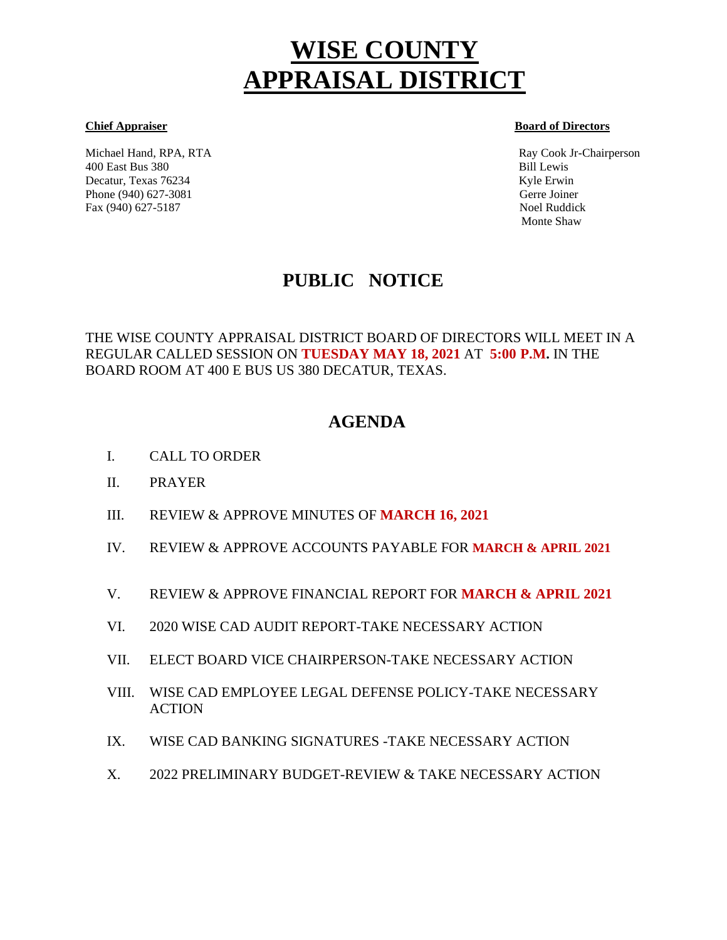# **WISE COUNTY APPRAISAL DISTRICT**

Michael Hand, RPA, RTA Ray Cook Jr-Chairperson 400 East Bus 380 Bill Lewis Decatur, Texas 76234 Kyle Erwin Kyle Erwin Kyle Erwin Kyle Erwin Kyle Erwin Kyle Erwin Kyle Erwin Kyle Erwin Kyle Erwin Kyle Erwin Kyle Erwin Kyle Erwin Kyle Erwin Kyle Erwin Kyle Erwin Kyle Erwin Kyle Erwin Kyle Erwin Kyl Phone (940) 627-3081 Gerre Joiner Fax (940) 627-5187 Noel Ruddick

#### **Chief Appraiser Board of Directors**

Monte Shaw

# **PUBLIC NOTICE**

THE WISE COUNTY APPRAISAL DISTRICT BOARD OF DIRECTORS WILL MEET IN A REGULAR CALLED SESSION ON **TUESDAY MAY 18, 2021** AT **5:00 P.M.** IN THE BOARD ROOM AT 400 E BUS US 380 DECATUR, TEXAS.

# **AGENDA**

- I. CALL TO ORDER Ĩ
- II. PRAYER
- III. REVIEW & APPROVE MINUTES OF **MARCH 16, 2021**
- IV. REVIEW & APPROVE ACCOUNTS PAYABLE FOR **MARCH & APRIL 2021**
- V. REVIEW & APPROVE FINANCIAL REPORT FOR **MARCH & APRIL 2021**
- VI. 2020 WISE CAD AUDIT REPORT-TAKE NECESSARY ACTION
- VII. ELECT BOARD VICE CHAIRPERSON-TAKE NECESSARY ACTION
- VIII. WISE CAD EMPLOYEE LEGAL DEFENSE POLICY-TAKE NECESSARY ACTION
- IX. WISE CAD BANKING SIGNATURES -TAKE NECESSARY ACTION
- X. 2022 PRELIMINARY BUDGET-REVIEW & TAKE NECESSARY ACTION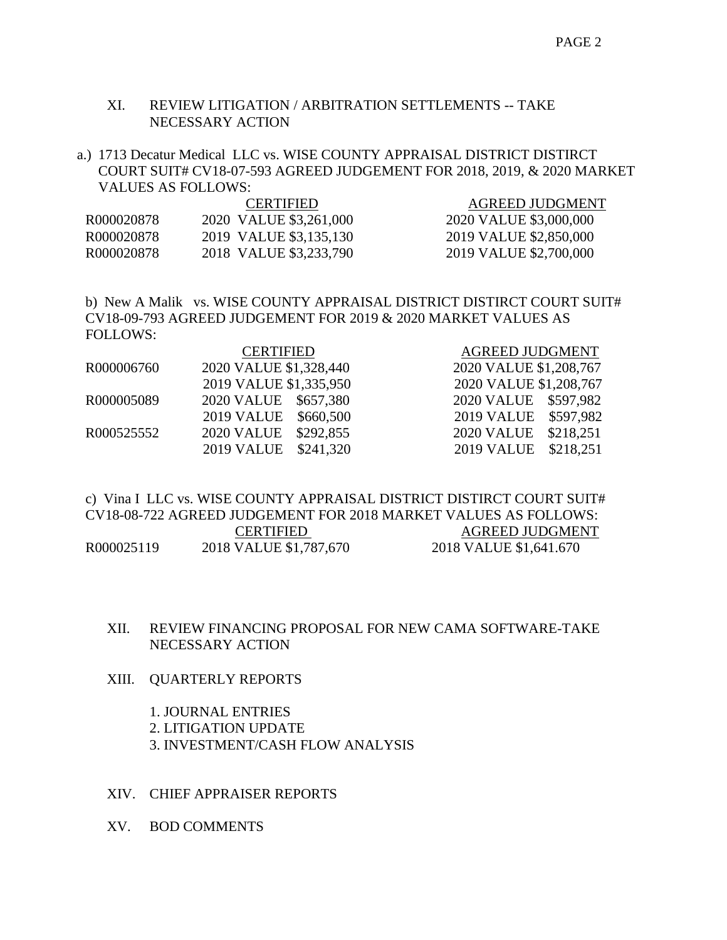# XI. REVIEW LITIGATION / ARBITRATION SETTLEMENTS -- TAKE NECESSARY ACTION

a.) 1713 Decatur Medical LLC vs. WISE COUNTY APPRAISAL DISTRICT DISTIRCT COURT SUIT# CV18-07-593 AGREED JUDGEMENT FOR 2018, 2019, & 2020 MARKET VALUES AS FOLLOWS:

|            | <b>CERTIFIED</b>       | <b>AGREED JUDGMENT</b> |
|------------|------------------------|------------------------|
| R000020878 | 2020 VALUE \$3,261,000 | 2020 VALUE \$3,000,000 |
| R000020878 | 2019 VALUE \$3,135,130 | 2019 VALUE \$2,850,000 |
| R000020878 | 2018 VALUE \$3,233,790 | 2019 VALUE \$2,700,000 |

b) New A Malik vs. WISE COUNTY APPRAISAL DISTRICT DISTIRCT COURT SUIT# CV18-09-793 AGREED JUDGEMENT FOR 2019 & 2020 MARKET VALUES AS FOLLOWS:

|            | <b>CERTIFIED</b>       | <b>AGREED JUDGMENT</b> |
|------------|------------------------|------------------------|
| R000006760 | 2020 VALUE \$1,328,440 | 2020 VALUE \$1,208,767 |
|            | 2019 VALUE \$1,335,950 | 2020 VALUE \$1,208,767 |
| R000005089 | 2020 VALUE \$657,380   | 2020 VALUE \$597,982   |
|            | 2019 VALUE \$660,500   | 2019 VALUE \$597,982   |
| R000525552 | 2020 VALUE \$292,855   | 2020 VALUE \$218,251   |
|            | 2019 VALUE \$241,320   | 2019 VALUE \$218,251   |

c) Vina I LLC vs. WISE COUNTY APPRAISAL DISTRICT DISTIRCT COURT SUIT# CV18-08-722 AGREED JUDGEMENT FOR 2018 MARKET VALUES AS FOLLOWS: CERTIFIED AGREED JUDGMENT R000025119 2018 VALUE \$1,787,670 2018 VALUE \$1,641.670

# XII. REVIEW FINANCING PROPOSAL FOR NEW CAMA SOFTWARE-TAKE NECESSARY ACTION

XIII. QUARTERLY REPORTS

1. JOURNAL ENTRIES 2. LITIGATION UPDATE 3. INVESTMENT/CASH FLOW ANALYSIS

XIV. CHIEF APPRAISER REPORTS

XV. BOD COMMENTS